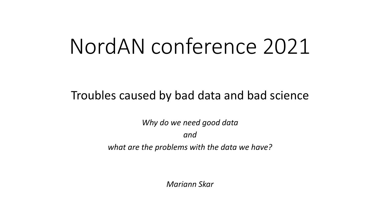# NordAN conference 2021

#### Troubles caused by bad data and bad science

*Why do we need good data and what are the problems with the data we have?*

*Mariann Skar*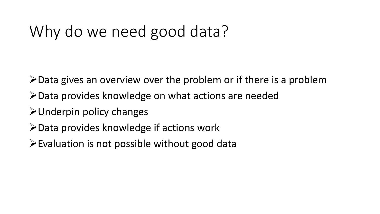# Why do we need good data?

- ➢Data gives an overview over the problem or if there is a problem
- ➢Data provides knowledge on what actions are needed
- ➢Underpin policy changes
- ➢Data provides knowledge if actions work
- ➢Evaluation is not possible without good data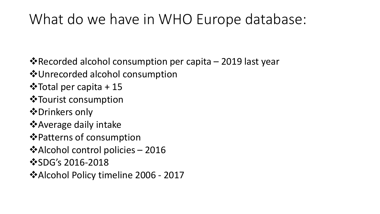### What do we have in WHO Europe database:

❖Recorded alcohol consumption per capita – 2019 last year

- ❖Unrecorded alcohol consumption
- ❖Total per capita + 15
- ❖Tourist consumption
- ❖Drinkers only
- ❖Average daily intake
- ❖Patterns of consumption
- ❖Alcohol control policies 2016
- ❖SDG's 2016-2018
- ❖Alcohol Policy timeline 2006 2017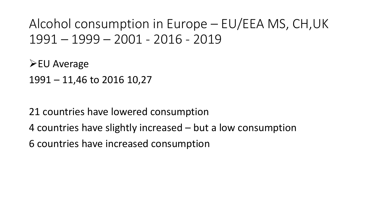#### Alcohol consumption in Europe – EU/EEA MS, CH,UK 1991 – 1999 – 2001 - 2016 - 2019

➢EU Average 1991 – 11,46 to 2016 10,27

21 countries have lowered consumption 4 countries have slightly increased – but a low consumption 6 countries have increased consumption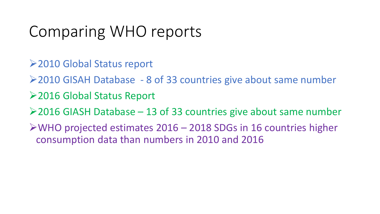# Comparing WHO reports

- ➢2010 Global Status report
- ➢2010 GISAH Database 8 of 33 countries give about same number
- ➢2016 Global Status Report
- $\geq$  2016 GIASH Database 13 of 33 countries give about same number
- ➢WHO projected estimates 2016 2018 SDGs in 16 countries higher consumption data than numbers in 2010 and 2016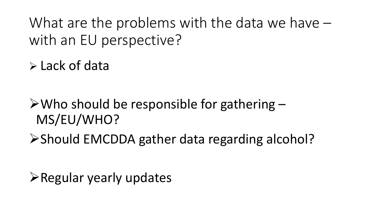What are the problems with the data we have – with an EU perspective?

➢ Lack of data

 $\triangleright$  Who should be responsible for gathering  $-$ MS/EU/WHO?

➢Should EMCDDA gather data regarding alcohol?

➢Regular yearly updates